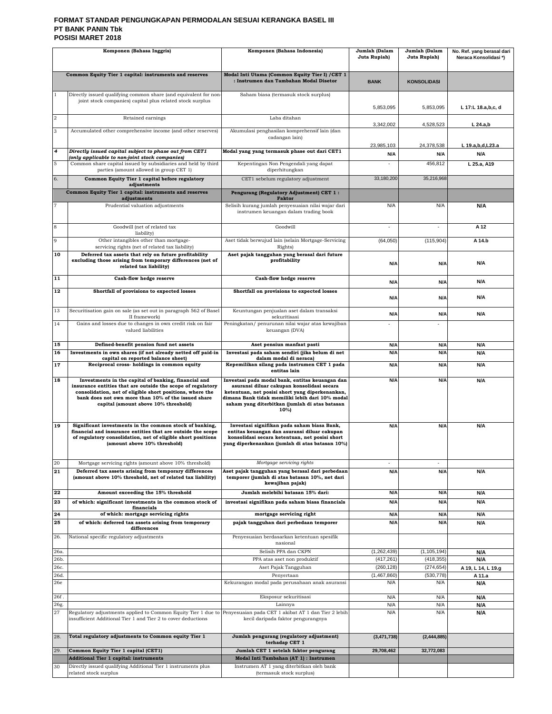### **FORMAT STANDAR PENGUNGKAPAN PERMODALAN SESUAI KERANGKA BASEL III PT BANK PANIN Tbk POSISI MARET 2018**

| Komponen (Bahasa Inggris) |                                                                                                                                                                                                                                                                                 | Komponen (Bahasa Indonesia)                                                                                                                                                                                                                                  | Jumlah (Dalam<br>Juta Rupiah) | Jumlah (Dalam<br>Juta Rupiah) | No. Ref. yang berasal dari<br>Neraca Konsolidasi*) |
|---------------------------|---------------------------------------------------------------------------------------------------------------------------------------------------------------------------------------------------------------------------------------------------------------------------------|--------------------------------------------------------------------------------------------------------------------------------------------------------------------------------------------------------------------------------------------------------------|-------------------------------|-------------------------------|----------------------------------------------------|
|                           |                                                                                                                                                                                                                                                                                 |                                                                                                                                                                                                                                                              |                               |                               |                                                    |
|                           | Common Equity Tier 1 capital: instruments and reserves                                                                                                                                                                                                                          | Modal Inti Utama (Common Equity Tier I) / CET 1<br>: Instrumen dan Tambahan Modal Disetor                                                                                                                                                                    | <b>BANK</b>                   | <b>KONSOLIDASI</b>            |                                                    |
| $\mathbf{1}$              | Directly issued qualifying common share (and equivalent for non<br>joint stock companies) capital plus related stock surplus                                                                                                                                                    | Saham biasa (termasuk stock surplus)                                                                                                                                                                                                                         |                               |                               |                                                    |
|                           |                                                                                                                                                                                                                                                                                 |                                                                                                                                                                                                                                                              | 5,853,095                     | 5,853,095                     | L 17:L 18.a,b,c, d                                 |
| $\overline{\mathbf{2}}$   | Retained earnings                                                                                                                                                                                                                                                               | Laba ditahan                                                                                                                                                                                                                                                 | 3,342,002                     | 4,528,523                     | $L$ 24.a,b                                         |
| 3                         | Accumulated other comprehensive income (and other reserves)                                                                                                                                                                                                                     | Akumulasi penghasilan komprehensif lain (dan<br>cadangan lain)                                                                                                                                                                                               |                               |                               |                                                    |
|                           |                                                                                                                                                                                                                                                                                 |                                                                                                                                                                                                                                                              | 23,985,103                    | 24.378.538                    | L 19.a,b,d,L23.a                                   |
| $\overline{4}$            | Directly issued capital subject to phase out from CET1<br>(only applicable to non-joint stock companies)                                                                                                                                                                        | Modal yang yang termasuk phase out dari CET1                                                                                                                                                                                                                 | N/A                           | N/A                           | N/A                                                |
| 5                         | Common share capital issued by subsidiaries and held by third<br>parties (amount allowed in group CET 1)                                                                                                                                                                        | Kepentingan Non Pengendali yang dapat<br>diperhitungkan                                                                                                                                                                                                      |                               | 456,812                       | L 25.a, A19                                        |
| 6.                        | Common Equity Tier 1 capital before regulatory<br>adjustments                                                                                                                                                                                                                   | CET1 sebelum regulatory adjustment                                                                                                                                                                                                                           | 33,180,200                    | 35,216,968                    |                                                    |
|                           | Common Equity Tier 1 capital: instruments and reserves<br>adjustments                                                                                                                                                                                                           | Pengurang (Regulatory Adjustment) CET 1:<br><b>Faktor</b>                                                                                                                                                                                                    |                               |                               |                                                    |
| 7                         | Prudential valuation adjustments                                                                                                                                                                                                                                                | Selisih kurang jumlah penyesuaian nilai wajar dari<br>instrumen keuangan dalam trading book                                                                                                                                                                  | N/A                           | N/A                           | N/A                                                |
| 8                         | Goodwill (net of related tax                                                                                                                                                                                                                                                    | Goodwill                                                                                                                                                                                                                                                     |                               |                               | A 12                                               |
| 9                         | liability)<br>Other intangibles other than mortgage-                                                                                                                                                                                                                            | Aset tidak berwujud lain (selain Mortgage-Servicing                                                                                                                                                                                                          | (64,050)                      | (115, 904)                    | A 14.b                                             |
| 10                        | servicing rights (net of related tax liability)<br>Deferred tax assets that rely on future profitability                                                                                                                                                                        | Rights)<br>Aset pajak tangguhan yang berasal dari future                                                                                                                                                                                                     |                               |                               |                                                    |
|                           | excluding those arising from temporary differences (net of<br>related tax liability)                                                                                                                                                                                            | profitability                                                                                                                                                                                                                                                | N/A                           | N/A                           | N/A                                                |
| 11                        | Cash-flow hedge reserve                                                                                                                                                                                                                                                         | Cash-flow hedge reserve                                                                                                                                                                                                                                      | N/A                           | N/A                           | N/A                                                |
| 12                        | Shortfall of provisions to expected losses                                                                                                                                                                                                                                      | Shortfall on provisions to expected losses                                                                                                                                                                                                                   | N/A                           | N/A                           | N/A                                                |
| 13                        | Securitisation gain on sale (as set out in paragraph 562 of Basel<br>II framework)                                                                                                                                                                                              | Keuntungan penjualan aset dalam transaksi<br>sekuritisasi                                                                                                                                                                                                    | N/A                           | N/A                           | <b>N/A</b>                                         |
| 14                        | Gains and losses due to changes in own credit risk on fair                                                                                                                                                                                                                      | Peningkatan/ penurunan nilai wajar atas kewajiban                                                                                                                                                                                                            |                               |                               |                                                    |
|                           | valued liabilities                                                                                                                                                                                                                                                              | keuangan (DVA)                                                                                                                                                                                                                                               |                               |                               |                                                    |
| 15<br>16                  | Defined-benefit pension fund net assets<br>Investments in own shares (if not already netted off paid-in                                                                                                                                                                         | Aset pensiun manfaat pasti<br>Investasi pada saham sendiri (jika belum di net                                                                                                                                                                                | N/A<br>N/A                    | N/A<br>N/A                    | N/A<br>N/A                                         |
| 17                        | capital on reported balance sheet)<br>Reciprocal cross-holdings in common equity                                                                                                                                                                                                | dalam modal di neraca)<br>Kepemilikan silang pada instrumen CET 1 pada                                                                                                                                                                                       | N/A                           | N/A                           | N/A                                                |
|                           |                                                                                                                                                                                                                                                                                 | entitas lain                                                                                                                                                                                                                                                 |                               |                               |                                                    |
| 18                        | Investments in the capital of banking, financial and<br>insurance entities that are outside the scope of regulatory<br>consolidation, net of eligible short positions, where the<br>bank does not own more than 10% of the issued share<br>capital (amount above 10% threshold) | Investasi pada modal bank, entitas keuangan dan<br>asuransi diluar cakupan konsolidasi secara<br>ketentuan, net posisi short yang diperkenankan,<br>dimana Bank tidak memiliki lebih dari 10% modal<br>saham yang diterbitkan (jumlah di atas batasan<br>10% | N/A                           | N/A                           | N/A                                                |
| 19                        | Significant investments in the common stock of banking,<br>financial and insurance entities that are outside the scope<br>of regulatory consolidation, net of eligible short positions<br>(amount above 10% threshold)                                                          | Investasi signifikan pada saham biasa Bank,<br>entitas keuangan dan asuransi diluar cakupan<br>konsolidasi secara ketentuan, net posisi short<br>yang diperkenankan (jumlah di atas batasan 10%)                                                             | N/A                           | N/A                           | N/A                                                |
| 20<br>21                  | Mortgage servicing rights (amount above 10% threshold)<br>Deferred tax assets arising from temporary differences<br>(amount above 10% threshold, net of related tax liability)                                                                                                  | Mortgage servicing rights<br>Aset pajak tangguhan yang berasal dari perbedaan<br>temporer (jumlah di atas batasan 10%, net dari<br>kewajiban pajak)                                                                                                          | ٠<br>N/A                      | $\sim$<br>N/A                 | N/A                                                |
| 22                        | Amount exceeding the 15% threshold                                                                                                                                                                                                                                              | Jumlah melebihi batasan 15% dari:                                                                                                                                                                                                                            | N/A                           | N/A                           | N/A                                                |
| 23                        | of which: significant investments in the common stock of<br>financials                                                                                                                                                                                                          | investasi signifikan pada saham biasa financials                                                                                                                                                                                                             | N/A                           | N/A                           | N/A                                                |
| 24                        | of which: mortgage servicing rights                                                                                                                                                                                                                                             | mortgage servicing right                                                                                                                                                                                                                                     | N/A                           | N/A                           | N/A                                                |
| 25                        | of which: deferred tax assets arising from temporary<br>differences                                                                                                                                                                                                             | pajak tangguhan dari perbedaan temporer                                                                                                                                                                                                                      | N/A                           | N/A                           | N/A                                                |
| 26.                       | National specific regulatory adjustments                                                                                                                                                                                                                                        | Penyesuaian berdasarkan ketentuan spesifik<br>nasional                                                                                                                                                                                                       |                               |                               |                                                    |
| 26a.                      |                                                                                                                                                                                                                                                                                 | Selisih PPA dan CKPN                                                                                                                                                                                                                                         | (1,262,439)                   | (1, 105, 194)                 | N/A                                                |
| 26b.<br>26с.              |                                                                                                                                                                                                                                                                                 | PPA atas aset non produktif<br>Aset Pajak Tangguhan                                                                                                                                                                                                          | (417, 261)<br>(260, 128)      | (418, 355)<br>(274, 654)      | N/A<br>A 19, L 14, L 19.g                          |
| 26d.                      |                                                                                                                                                                                                                                                                                 | Penyertaan                                                                                                                                                                                                                                                   | (1,467,860)                   | (530, 778)                    | A 11.a                                             |
| 26e                       |                                                                                                                                                                                                                                                                                 | Kekurangan modal pada perusahaan anak asuransi                                                                                                                                                                                                               | N/A                           | N/A                           | N/A                                                |
| 26f.                      |                                                                                                                                                                                                                                                                                 | Eksposur sekuritisasi                                                                                                                                                                                                                                        | N/A                           | N/A                           | N/A                                                |
| 26g.<br>27                | Regulatory adjustments applied to Common Equity Tier 1 due to<br>insufficient Additional Tier 1 and Tier 2 to cover deductions                                                                                                                                                  | Lainnya<br>Penyesuaian pada CET 1 akibat AT 1 dan Tier 2 lebih<br>kecil daripada faktor pengurangnya                                                                                                                                                         | N/A<br>N/A                    | N/A<br>N/A                    | N/A<br>N/A                                         |
| 28.                       | Total regulatory adjustments to Common equity Tier 1                                                                                                                                                                                                                            | Jumlah pengurang (regulatory adjustment)<br>terhadap CET 1                                                                                                                                                                                                   | (3,471,738)                   | (2, 444, 885)                 |                                                    |
| 29.                       | Common Equity Tier 1 capital (CET1)<br><b>Additional Tier 1 capital: instruments</b>                                                                                                                                                                                            | Jumlah CET 1 setelah faktor pengurang<br>Modal Inti Tambahan (AT 1) : Instrumen                                                                                                                                                                              | 29,708,462                    | 32,772,083                    |                                                    |
| 30                        | Directly issued qualifying Additional Tier 1 instruments plus                                                                                                                                                                                                                   | Instrumen AT 1 yang diterbitkan oleh bank                                                                                                                                                                                                                    |                               |                               |                                                    |
|                           | related stock surplus                                                                                                                                                                                                                                                           | (termasuk stock surplus)                                                                                                                                                                                                                                     |                               |                               |                                                    |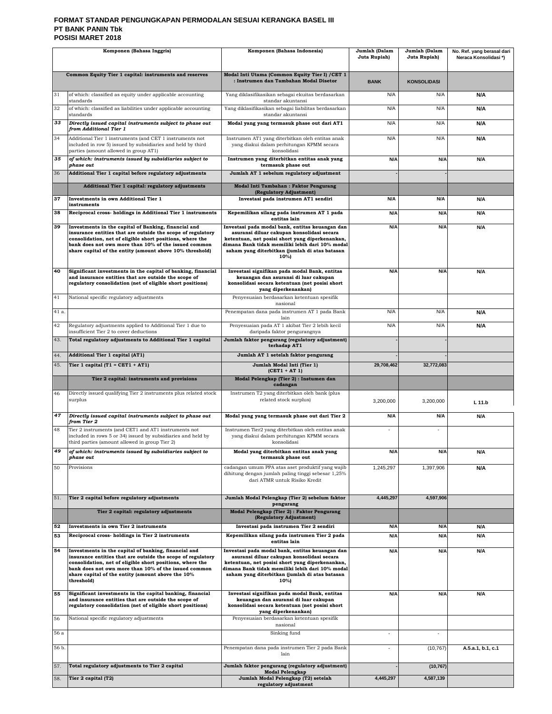### **FORMAT STANDAR PENGUNGKAPAN PERMODALAN SESUAI KERANGKA BASEL III PT BANK PANIN Tbk POSISI MARET 2018**

| Komponen (Bahasa Inggris) |                                                                                                                                                                                                                                                                                                             | Komponen (Bahasa Indonesia)                                                                                                                                                                                                                                   | Jumlah (Dalam<br>Juta Rupiah) | Jumlah (Dalam<br>Juta Rupiah) | No. Ref. yang berasal dari<br>Neraca Konsolidasi*) |
|---------------------------|-------------------------------------------------------------------------------------------------------------------------------------------------------------------------------------------------------------------------------------------------------------------------------------------------------------|---------------------------------------------------------------------------------------------------------------------------------------------------------------------------------------------------------------------------------------------------------------|-------------------------------|-------------------------------|----------------------------------------------------|
|                           |                                                                                                                                                                                                                                                                                                             |                                                                                                                                                                                                                                                               |                               |                               |                                                    |
|                           | Common Equity Tier 1 capital: instruments and reserves                                                                                                                                                                                                                                                      | Modal Inti Utama (Common Equity Tier I) / CET 1<br>: Instrumen dan Tambahan Modal Disetor                                                                                                                                                                     | <b>BANK</b>                   | <b>KONSOLIDASI</b>            |                                                    |
| 31                        | of which: classified as equity under applicable accounting<br>standards                                                                                                                                                                                                                                     | Yang diklasifikasikan sebagai ekuitas berdasarkan<br>standar akuntansi                                                                                                                                                                                        | N/A                           | N/A                           | N/A                                                |
| 32                        | of which: classified as liabilities under applicable accounting<br>standards                                                                                                                                                                                                                                | Yang diklasifikasikan sebagai liabilitas berdasarkan<br>standar akuntansi                                                                                                                                                                                     | N/A                           | N/A                           | N/A                                                |
| 33                        | Directly issued capital instruments subject to phase out<br>from Additional Tier 1                                                                                                                                                                                                                          | Modal yang yang termasuk phase out dari AT1                                                                                                                                                                                                                   | N/A                           | N/A                           | N/A                                                |
| 34                        | Additional Tier 1 instruments (and CET 1 instruments not<br>included in row 5) issued by subsidiaries and held by third<br>parties (amount allowed in group AT1)                                                                                                                                            | Instrumen AT1 yang diterbitkan oleh entitas anak<br>yang diakui dalam perhitungan KPMM secara<br>konsolidasi                                                                                                                                                  | N/A                           | N/A                           | N/A                                                |
| 35                        | of which: instruments issued by subsidiaries subject to<br>phase out                                                                                                                                                                                                                                        | Instrumen yang diterbitkan entitas anak yang<br>termasuk phase out                                                                                                                                                                                            | N/A                           | N/A                           | N/A                                                |
| 36                        | Additional Tier 1 capital before regulatory adjustments                                                                                                                                                                                                                                                     | Jumlah AT 1 sebelum regulatory adjustment                                                                                                                                                                                                                     |                               |                               |                                                    |
|                           | Additional Tier 1 capital: regulatory adjustments                                                                                                                                                                                                                                                           | Modal Inti Tambahan: Faktor Pengurang<br>(Regulatory Adjustment)                                                                                                                                                                                              |                               |                               |                                                    |
| 37                        | Investments in own Additional Tier 1<br>instruments                                                                                                                                                                                                                                                         | Investasi pada instrumen AT1 sendiri                                                                                                                                                                                                                          | N/A                           | N/A                           | <b>N/A</b>                                         |
| 38                        | Reciprocal cross- holdings in Additional Tier 1 instruments                                                                                                                                                                                                                                                 | Kepemilikan silang pada instrumen AT 1 pada<br>entitas lain                                                                                                                                                                                                   | N/A                           | N/A                           | N/A                                                |
| 39                        | Investments in the capital of Banking, financial and<br>insurance entities that are outside the scope of regulatory<br>consolidation, net of eligible short positions, where the<br>bank does not own more than 10% of the issued common                                                                    | Investasi pada modal bank, entitas keuangan dan<br>asuransi diluar cakupan konsolidasi secara<br>ketentuan, net posisi short yang diperkenankan,<br>dimana Bank tidak memiliki lebih dari 10% modal                                                           | N/A                           | N/A                           | N/A                                                |
|                           | share capital of the entity (amount above 10% threshold)                                                                                                                                                                                                                                                    | saham yang diterbitkan (jumlah di atas batasan<br>10%)                                                                                                                                                                                                        |                               |                               |                                                    |
| 40                        | Significant investments in the capital of banking, financial<br>and insurance entities that are outside the scope of<br>regulatory consolidation (net of eligible short positions)                                                                                                                          | Investasi signifikan pada modal Bank, entitas<br>keuangan dan asuransi di luar cakupan<br>konsolidasi secara ketentuan (net posisi short<br>yang diperkenankan)                                                                                               | N/A                           | N/A                           | N/A                                                |
| 41                        | National specific regulatory adjustments                                                                                                                                                                                                                                                                    | Penyesuaian berdasarkan ketentuan spesifik<br>nasional                                                                                                                                                                                                        |                               |                               |                                                    |
| 41 a.                     |                                                                                                                                                                                                                                                                                                             | Penempatan dana pada instrumen AT 1 pada Bank<br>lain                                                                                                                                                                                                         | N/A                           | N/A                           | N/A                                                |
| 42                        | Regulatory adjustments applied to Additional Tier 1 due to<br>insufficient Tier 2 to cover deductions                                                                                                                                                                                                       | Penyesuaian pada AT 1 akibat Tier 2 lebih kecil<br>daripada faktor pengurangnya                                                                                                                                                                               | N/A                           | N/A                           | N/A                                                |
| 43.                       | Total regulatory adjustments to Additional Tier 1 capital                                                                                                                                                                                                                                                   | Jumlah faktor pengurang (regulatory adjustment)<br>terhadap AT1                                                                                                                                                                                               |                               |                               |                                                    |
| 44.                       | <b>Additional Tier 1 capital (AT1)</b>                                                                                                                                                                                                                                                                      | Jumlah AT 1 setelah faktor pengurang                                                                                                                                                                                                                          |                               |                               |                                                    |
| 45.                       | Tier 1 capital $(T1 = CET1 + AT1)$                                                                                                                                                                                                                                                                          | Jumlah Modal Inti (Tier 1)<br>$(CET1 + AT1)$                                                                                                                                                                                                                  | 29,708,462                    | 32,772,083                    |                                                    |
|                           | Tier 2 capital: instruments and provisions                                                                                                                                                                                                                                                                  | Modal Pelengkap (Tier 2) : Instumen dan<br>cadangan                                                                                                                                                                                                           |                               |                               |                                                    |
| 46                        | Directly issued qualifying Tier 2 instruments plus related stock<br>surplus                                                                                                                                                                                                                                 | Instrumen T2 yang diterbitkan oleh bank (plus<br>related stock surplus)                                                                                                                                                                                       | 3,200,000                     | 3,200,000                     | L 11.b                                             |
| 47                        | Directly issued capital instruments subject to phase out<br>from Tier 2                                                                                                                                                                                                                                     | Modal yang yang termasuk phase out dari Tier 2                                                                                                                                                                                                                | N/A                           | N/A                           | N/A                                                |
| 48                        | Tier 2 instruments (and CET1 and AT1 instruments not<br>included in rows 5 or 34) issued by subsidiaries and held by<br>third parties (amount allowed in group Tier 2)                                                                                                                                      | Instrumen Tier2 yang diterbitkan oleh entitas anak<br>yang diakui dalam perhitungan KPMM secara<br>konsolidasi                                                                                                                                                | ä,                            | $\sim$                        |                                                    |
|                           | of which: instruments issued by subsidiaries subject to<br>phase out                                                                                                                                                                                                                                        | Modal yang diterbitkan entitas anak yang<br>termasuk phase out                                                                                                                                                                                                | N/A                           | N/A                           | Ν/Α                                                |
| 50                        | Provisions                                                                                                                                                                                                                                                                                                  | cadangan umum PPA atas aset produktif yang wajib<br>dihitung dengan jumlah paling tinggi sebesar 1,25%<br>dari ATMR untuk Risiko Kredit                                                                                                                       | 1,245,297                     | 1,397,906                     | N/A                                                |
| 51.                       | Tier 2 capital before regulatory adjustments                                                                                                                                                                                                                                                                | Jumlah Modal Pelengkap (Tier 2) sebelum faktor<br>pengurang                                                                                                                                                                                                   | 4,445,297                     | 4,597,906                     |                                                    |
|                           | Tier 2 capital: regulatory adjustments                                                                                                                                                                                                                                                                      | Modal Pelengkap (Tier 2): Faktor Pengurang<br>(Regulatory Adjustment)                                                                                                                                                                                         |                               |                               |                                                    |
| 52                        | <b>Investments in own Tier 2 instruments</b>                                                                                                                                                                                                                                                                | Investasi pada instrumen Tier 2 sendiri                                                                                                                                                                                                                       | N/A                           | N/A                           | N/A                                                |
| 53                        | Reciprocal cross-holdings in Tier 2 instruments                                                                                                                                                                                                                                                             | Kepemilikan silang pada instrumen Tier 2 pada<br>entitas lain                                                                                                                                                                                                 | N/A                           | N/A                           | N/A                                                |
| 54                        | Investments in the capital of banking, financial and<br>insurance entities that are outside the scope of regulatory<br>consolidation, net of eligible short positions, where the<br>bank does not own more than 10% of the issued common<br>share capital of the entity (amount above the 10%<br>threshold) | Investasi pada modal bank, entitas keuangan dan<br>asuransi diluar cakupan konsolidasi secara<br>ketentuan, net posisi short yang diperkenankan,<br>dimana Bank tidak memiliki lebih dari 10% modal<br>saham yang diterbitkan (jumlah di atas batasan<br>10%) | N/A                           | N/A                           | N/A                                                |
| 55                        | Significant investments in the capital banking, financial<br>and insurance entities that are outside the scope of<br>regulatory consolidation (net of eligible short positions)                                                                                                                             | Investasi signifikan pada modal Bank, entitas<br>keuangan dan asuransi di luar cakupan<br>konsolidasi secara ketentuan (net posisi short<br>yang diperkenankan)                                                                                               | N/A                           | N/A                           | N/A                                                |
| 56                        | National specific regulatory adjustments                                                                                                                                                                                                                                                                    | Penyesuaian berdasarkan ketentuan spesifik<br>nasional                                                                                                                                                                                                        |                               |                               |                                                    |
| 56 a                      |                                                                                                                                                                                                                                                                                                             | Sinking fund                                                                                                                                                                                                                                                  | ä,                            | ä,                            |                                                    |
| 56 b.                     |                                                                                                                                                                                                                                                                                                             | Penempatan dana pada instrumen Tier 2 pada Bank<br>lain                                                                                                                                                                                                       | ä,                            | (10, 767)                     | A.5.a.1, b.1, c.1                                  |
| 57.                       | Total regulatory adjustments to Tier 2 capital                                                                                                                                                                                                                                                              | Jumlah faktor pengurang (regulatory adjustment)<br><b>Modal Pelengkap</b>                                                                                                                                                                                     |                               | (10, 767)                     |                                                    |
| 58.                       | Tier 2 capital (T2)                                                                                                                                                                                                                                                                                         | Jumlah Modal Pelengkap (T2) setelah<br>regulatory adjustment                                                                                                                                                                                                  | 4,445,297                     | 4,587,139                     |                                                    |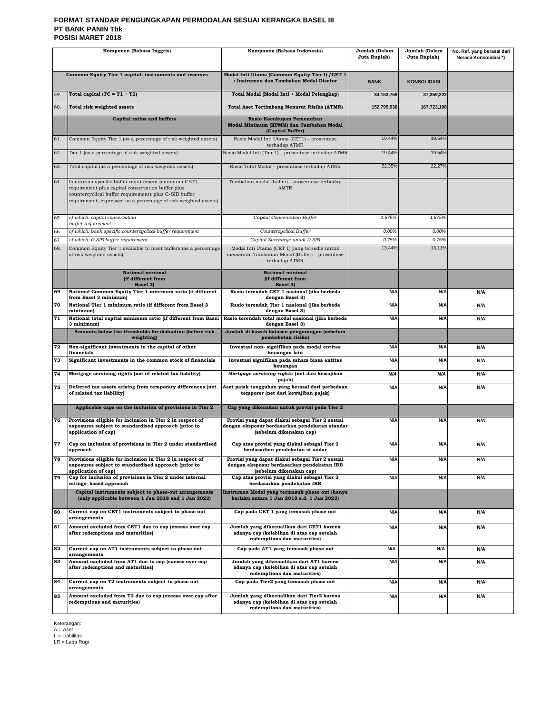### **FORMAT STANDAR PENGUNGKAPAN PERMODALAN SESUAI KERANGKA BASEL III PT BANK PANIN Tbk POSISI MARET 2018**

| Komponen (Bahasa Inggris) |                                                                                                                                                                                                                                        | Komponen (Bahasa Indonesia)                                                                                                  |                 | Jumlah (Dalam<br>Juta Rupiah) | No. Ref. yang berasal dari<br>Neraca Konsolidasi*) |
|---------------------------|----------------------------------------------------------------------------------------------------------------------------------------------------------------------------------------------------------------------------------------|------------------------------------------------------------------------------------------------------------------------------|-----------------|-------------------------------|----------------------------------------------------|
|                           | Common Equity Tier 1 capital: instruments and reserves                                                                                                                                                                                 | Modal Inti Utama (Common Equity Tier I) / CET 1<br>: Instrumen dan Tambahan Modal Disetor                                    | <b>BANK</b>     | <b>KONSOLIDASI</b>            |                                                    |
| 59.                       | Total capital (TC = $T1 + T2$ )                                                                                                                                                                                                        | Total Modal (Modal Inti + Modal Pelengkap)                                                                                   | 34.153.759      | 37,359,222                    |                                                    |
| 60.                       | Total risk weighted assets                                                                                                                                                                                                             | <b>Total Aset Tertimbang Menurut Risiko (ATMR)</b>                                                                           | 152,795,930     | 167,723,198                   |                                                    |
|                           | <b>Capital ratios and buffers</b>                                                                                                                                                                                                      | Rasio Kecukupan Pemenuhan<br>Modal Minimum (KPMM) dan Tambahan Modal<br>(Capital Buffer)                                     |                 |                               |                                                    |
| 61.                       | Common Equity Tier 1 (as a percentage of risk weighted assets)                                                                                                                                                                         | Rasio Modal Inti Utama (CET1) - prosentase<br>terhadap ATMR                                                                  | 19.44%          | 19.54%                        |                                                    |
| 62.                       | Tier 1 (as a percentage of risk weighted assets)                                                                                                                                                                                       | Rasio Modal Inti (Tier 1) - prosentase terhadap ATMR                                                                         | 19.44%          | 19.54%                        |                                                    |
| 63.                       | Total capital (as a percentage of risk weighted assets)                                                                                                                                                                                | Rasio Total Modal - prosentase terhadap ATMR                                                                                 | 22.35%          | 22.27%                        |                                                    |
| 64.                       | Institution specific buffer requirement (minimum CET1<br>requirement plus capital conservation buffer plus<br>countercyclical buffer requirements plus G-SIB buffer<br>requirement, expressed as a percentage of risk weighted assets) | Tambahan modal (buffer) - prosentase terhadap<br><b>AMTR</b>                                                                 |                 |                               |                                                    |
| 65                        | of which: capital conservation<br>buffer requirement                                                                                                                                                                                   | Capital Conservation Buffer                                                                                                  | 1.875%          | 1.875%                        |                                                    |
| 66                        | of which: bank specific countercyclical buffer requirement                                                                                                                                                                             | Countercyclical Buffer                                                                                                       | 0.00%           | 0.00%                         |                                                    |
| 67<br>68.                 | of which: G-SIB buffer requirement<br>Common Equity Tier 1 available to meet buffers (as a percentage                                                                                                                                  | Capital Surcharge untuk D-SIB<br>Modal Inti Utama (CET 1) yang tersedia untuk                                                | 0.75%<br>13.44% | 0.75%<br>13.11%               |                                                    |
|                           | of risk weighted assets)                                                                                                                                                                                                               | memenuhi Tambahan Modal (Buffer) - prosentase<br>terhadap ATMR                                                               |                 |                               |                                                    |
|                           | <b>National minimal</b><br>(if different from<br>Basel 3)                                                                                                                                                                              | National minimal<br>(if different from<br>Basel 3)                                                                           |                 |                               |                                                    |
| 69                        | National Common Equity Tier 1 minimum ratio (if different<br>from Basel 3 minimum)                                                                                                                                                     | Rasio terendah CET 1 nasional (jika berbeda<br>dengan Basel 3)                                                               | N/A             | N/A                           | <b>N/A</b>                                         |
| 70                        | National Tier 1 minimum ratio (if different from Basel 3<br>minimum)                                                                                                                                                                   | Rasio terendah Tier 1 nasional (jika berbeda<br>dengan Basel 3)                                                              | N/A             | N/A                           | <b>N/A</b>                                         |
| 71                        | National total capital minimum ratio (if different from Basel<br>3 minimum)                                                                                                                                                            | Rasio terendah total modal nasional (jika berbeda<br>dengan Basel 3)                                                         | N/A             | N/A                           | N/A                                                |
|                           | Amounts below the thresholds for deduction (before risk<br>weighting)                                                                                                                                                                  | Jumlah di bawah batasan pengurangan (sebelum<br>pembobotan risiko)                                                           |                 |                               |                                                    |
| 72                        | Non-significant investments in the capital of other<br>financials                                                                                                                                                                      | Investasi non- signifikan pada modal entitas<br>keuangan lain                                                                | N/A             | N/A                           | N/A                                                |
| 73                        | Significant investments in the common stock of financials                                                                                                                                                                              | Investasi signifikan pada saham biasa entitas<br>keuangan                                                                    | N/A             | N/A                           | N/A                                                |
| 74                        | Mortgage servicing rights (net of related tax liability)                                                                                                                                                                               | Mortgage servicing rights (net dari kewajiban<br>pajak)                                                                      | N/A             | N/A                           | N/A                                                |
| 75                        | Deferred tax assets arising from temporary differences (net<br>of related tax liability)                                                                                                                                               | Aset pajak tangguhan yang berasal dari perbedaan<br>temporer (net dari kewajiban pajak)                                      | N/A             | N/A                           | N/A                                                |
|                           | Applicable caps on the inclusion of provisions in Tier 2                                                                                                                                                                               | Cap yang dikenakan untuk provisi pada Tier 2                                                                                 |                 |                               |                                                    |
| 76                        | Provisions eligible for inclusion in Tier 2 in respect of<br>exposures subject to standardised approach (prior to<br>application of cap)                                                                                               | Provisi yang dapat diakui sebagai Tier 2 sesuai<br>dengan eksposur berdasarkan pendekatan standar<br>(sebelum dikenakan cap) | N/A             | N/A                           | <b>N/A</b>                                         |
| 77                        | Cap on inclusion of provisions in Tier 2 under standardised<br>approacn                                                                                                                                                                | Cap atas provisi yang diakui sebagai Tier 2<br>berdasarkan pendekatan st andar                                               | N/A             | N/A                           | N/A                                                |
| 78                        | Provisions eligible for inclusion in Tier 2 in respect of<br>exposures subject to standardised approach (prior to<br>application of cap)                                                                                               | Provisi yang dapat diakui sebagai Tier 2 sesuai<br>dengan eksposur berdasarkan pendekatan IRB<br>(sebelum dikenakan cap)     | N/A             | N/A                           | N/A                                                |
| 79                        | Cap for inclusion of provisions in Tier 2 under internal<br>ratings- based approach                                                                                                                                                    | Cap atas provisi yang diakui sebagai Tier 2<br>berdasarkan pendekatan IRB                                                    | N/A             | N/A                           | N/A                                                |
|                           | Capital instruments subject to phase-out arrangements<br>(only applicable between 1 Jan 2018 and 1 Jan 2022)                                                                                                                           | Instrumen Modal yang termasuk phase out (hanya<br>berlaku antara 1 Jan 2018 s.d. 1 Jan 2022)                                 |                 |                               |                                                    |
| 80                        | Current cap on CET1 instruments subject to phase out<br>arrangements                                                                                                                                                                   | Cap pada CET 1 yang temasuk phase out                                                                                        | N/A             | N/A                           | N/A                                                |
| 81                        | Amount excluded from CET1 due to cap (excess over cap<br>after redemptions and maturities)                                                                                                                                             | Jumlah yang dikecualikan dari CET1 karena<br>adanya cap (kelebihan di atas cap setelah<br>redemptions dan maturities)        | N/A             | N/A                           | N/A                                                |
| 82                        | Current cap on AT1 instruments subject to phase out<br>arrangements                                                                                                                                                                    | Cap pada AT1 yang temasuk phase out                                                                                          | N/A             | N/A                           | N/A                                                |
| 83                        | Amount excluded from AT1 due to cap (excess over cap<br>after redemptions and maturities)                                                                                                                                              | Jumlah yang dikecualikan dari AT1 karena<br>adanya cap (kelebihan di atas cap setelah<br>redemptions dan maturities)         | N/A             | N/A                           | N/A                                                |
| 84                        | Current cap on T2 instruments subject to phase out<br>arrangements                                                                                                                                                                     | Cap pada Tier2 yang temasuk phase out                                                                                        | N/A             | N/A                           | N/A                                                |
| 85                        | Amount excluded from T2 due to cap (excess over cap after<br>redemptions and maturities)                                                                                                                                               | Jumlah yang dikecualikan dari Tier2 karena<br>adanya cap (kelebihan di atas cap setelah<br>redemptions dan maturities)       | N/A             | N/A                           | N/A                                                |

Keterangan: A = Aset L = Liabilitas LR = Laba Rugi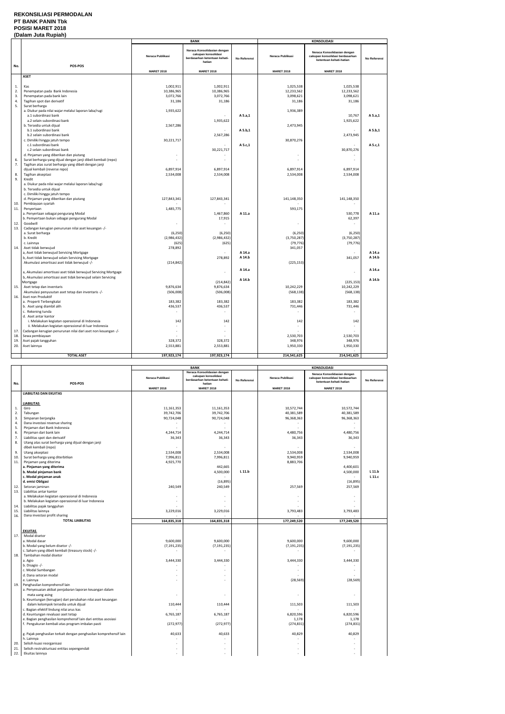## **REKONSILIASI PERMODALAN PT BANK PANIN Tbk POSISI MARET 2018**

## **(Dalam Juta Rupiah)**

|          |                                                                                      |                          | <b>BANK</b>                                                                                   |              |                          | <b>KONSOLIDASI</b>                                                                        |              |
|----------|--------------------------------------------------------------------------------------|--------------------------|-----------------------------------------------------------------------------------------------|--------------|--------------------------|-------------------------------------------------------------------------------------------|--------------|
|          |                                                                                      | Neraca Publikasi         | Neraca Konsolidasian dengan<br>cakupan konsolidasi<br>berdasarkan ketentuan kehati-<br>hatian | No Referensi | Neraca Publikasi         | Neraca Konsolidasian dengan<br>cakupan konsolidasi berdasarkan<br>ketentuan kehati-hatian | No Referensi |
| No.      | POS-POS                                                                              |                          |                                                                                               |              | <b>MARET 2018</b>        | <b>MARET 2018</b>                                                                         |              |
|          |                                                                                      | <b>MARET 2018</b>        | <b>MARET 2018</b>                                                                             |              |                          |                                                                                           |              |
|          | <b>ASET</b>                                                                          |                          |                                                                                               |              |                          |                                                                                           |              |
|          |                                                                                      |                          |                                                                                               |              |                          |                                                                                           |              |
| 1.       | Kas                                                                                  | 1,002,911                | 1,002,911                                                                                     |              | 1,025,538                | 1,025,538                                                                                 |              |
| 2.       | Penempatan pada Bank Indonesia                                                       | 10,386,965               | 10,386,965                                                                                    |              | 12,233,562               | 12,233,562                                                                                |              |
| 3.       | Penempatan pada bank lain                                                            | 3,072,766                | 3,072,766                                                                                     |              | 3,098,621                | 3,098,621                                                                                 |              |
| 4.       | Tagihan spot dan derivatif                                                           | 31,186                   | 31,186                                                                                        |              | 31,186                   | 31,186                                                                                    |              |
| 5.       | Surat berharga                                                                       |                          |                                                                                               |              |                          |                                                                                           |              |
|          | a. Diukur pada nilai wajar melalui laporan laba/rugi                                 | 1,935,622                |                                                                                               |              | 1,936,389                |                                                                                           |              |
|          | a.1 subordinasi bank                                                                 |                          |                                                                                               | A 5.a,1      |                          | 10,767                                                                                    | A 5.a,1      |
|          | a.2 selain subordinasi bank                                                          |                          | 1,935,622                                                                                     |              |                          | 1,925,622                                                                                 |              |
|          | b. Tersedia untuk dijual                                                             | 2,567,286                |                                                                                               |              | 2,473,945                |                                                                                           |              |
|          | b.1 subordinasi bank                                                                 |                          |                                                                                               | A 5.b,1      |                          |                                                                                           | A 5.b,1      |
|          | b.2 selain subordinasi bank                                                          |                          | 2,567,286                                                                                     |              |                          | 2,473,945                                                                                 |              |
|          | c. Dimiliki hingga jatuh tempo                                                       | 30,221,717               |                                                                                               |              | 30,870,276               |                                                                                           |              |
|          | c.1 subordinasi bank                                                                 |                          |                                                                                               | A 5.c,1      |                          |                                                                                           | A 5.c,1      |
|          | c.2 selain subordinasi bank                                                          |                          | 30,221,717                                                                                    |              |                          | 30,870,276                                                                                |              |
|          | d. Pinjaman yang diberikan dan piutang                                               | $\overline{\phantom{a}}$ |                                                                                               |              |                          |                                                                                           |              |
| 6.       | Surat berharga yang dijual dengan janji dibeli kembali (repo)                        |                          |                                                                                               |              |                          |                                                                                           |              |
| 7.       | Tagihan atas surat berharga yang dibeli dengan janji                                 |                          |                                                                                               |              |                          |                                                                                           |              |
|          | dijual kembali (reverse repo)                                                        | 6,897,914                | 6,897,914                                                                                     |              | 6,897,914                | 6,897,914                                                                                 |              |
| 8.<br>9. | Tagihan akseptasi                                                                    | 2,534,008                | 2,534,008                                                                                     |              | 2,534,008                | 2,534,008                                                                                 |              |
|          | Kredit                                                                               |                          |                                                                                               |              |                          |                                                                                           |              |
|          | a. Diukur pada nilai wajar melalui laporan laba/rugi                                 |                          |                                                                                               |              |                          |                                                                                           |              |
|          | b. Tersedia untuk dijual                                                             |                          |                                                                                               |              |                          |                                                                                           |              |
|          | c. Dimiliki hingga jatuh tempo                                                       | 127,843,341              |                                                                                               |              |                          |                                                                                           |              |
|          | d. Pinjaman yang diberikan dan piutang                                               |                          | 127,843,341                                                                                   |              | 141,148,350              | 141,148,350                                                                               |              |
| 10.      | Pembiayaan syariah                                                                   | 1,485,775                |                                                                                               |              | 593,175                  |                                                                                           |              |
| 11.      | Penyertaan                                                                           |                          |                                                                                               | A 11.a       |                          |                                                                                           | A 11.a       |
|          | a. Penyertaan sebagai pengurang Modal<br>b. Pemyertaan bukan sebagai pengurang Modal |                          | 1,467,860<br>17,915                                                                           |              |                          | 530,778<br>62,397                                                                         |              |
| 12.      | Goodwill                                                                             | $\overline{\phantom{a}}$ |                                                                                               |              | $\overline{\phantom{a}}$ | $\overline{\phantom{a}}$                                                                  |              |
| 13.      | Cadangan kerugian penurunan nilai aset keuangan -/-                                  |                          |                                                                                               |              |                          |                                                                                           |              |
|          | a. Surat berharga                                                                    | (6, 250)                 | (6, 250)                                                                                      |              | (6, 250)                 | (6, 250)                                                                                  |              |
|          | b. Kredit                                                                            | (2,986,432)              | (2,986,432)                                                                                   |              | (3,750,287)              | (3,750,287)                                                                               |              |
|          | c. Lainnya                                                                           | (625)                    | (625)                                                                                         |              | (79, 776)                | (79, 776)                                                                                 |              |
| 14.      | Aset tidak berwujud                                                                  | 278,892                  |                                                                                               |              | 341,057                  |                                                                                           |              |
|          | a, Aset tidak berwujud Servicing Mortgage                                            |                          |                                                                                               | A 14.a       |                          |                                                                                           | A 14.a       |
|          | b, Aset tidak berwujud selain Servicing Mortgage                                     |                          | 278,892                                                                                       | A 14.b       |                          | 341,057                                                                                   | A 14.b       |
|          | Akumulasi amortisasi aset tidak berwujud -/-                                         | (214, 842)               |                                                                                               |              | (225, 153)               |                                                                                           |              |
|          |                                                                                      |                          |                                                                                               |              |                          |                                                                                           |              |
|          | a, Akumulasi amortisasi aset tidak berwujud Servicing Mortgage                       |                          |                                                                                               | A 14.a       |                          | ÷,                                                                                        | A 14.a       |
|          | b, Akumulasi amortisasi aset tidak berwujud selain Servicing                         |                          |                                                                                               |              |                          |                                                                                           |              |
|          | Mortgage                                                                             |                          | (214, 842)                                                                                    | A 14.b       |                          | (225, 153)                                                                                | A 14.b       |
| 15.      | Aset tetap dan inventaris                                                            | 9,876,634                | 9,876,634                                                                                     |              | 10,242,229               | 10,242,229                                                                                |              |
|          | Akumulasi penyusutan aset tetap dan inventaris -/-                                   | (506,008)                | (506,008)                                                                                     |              | (568, 138)               | (568, 138)                                                                                |              |
| 16.      | Aset non Produktif                                                                   |                          |                                                                                               |              |                          |                                                                                           |              |
|          | a. Properti Terbengkalai                                                             | 183,382                  | 183,382                                                                                       |              | 183,382                  | 183,382                                                                                   |              |
|          | b. Aset yang diambil alih                                                            | 436,537                  | 436,537                                                                                       |              | 731,446                  | 731,446                                                                                   |              |
|          | c. Rekening tunda                                                                    |                          |                                                                                               |              |                          |                                                                                           |              |
|          | d. Aset antar kantor                                                                 |                          |                                                                                               |              |                          |                                                                                           |              |
|          | i. Melakukan kegiatan operasional di Indonesia                                       | 142                      | 142                                                                                           |              | 142                      | 142                                                                                       |              |
|          | ii. Melakukan kegiatan operasional di luar Indonesia                                 |                          |                                                                                               |              |                          |                                                                                           |              |
| 17.      | Cadangan kerugian penurunan nilai dari aset non keuangan -/-                         | ٠                        |                                                                                               |              |                          |                                                                                           |              |
| 18.      | Sewa pembiayaan                                                                      |                          |                                                                                               |              | 2,530,703                | 2,530,703                                                                                 |              |
| 19.      | Aset pajak tangguhan                                                                 | 328,372                  | 328,372                                                                                       |              | 348,976                  | 348,976                                                                                   |              |
| 20.      | Aset lainnya                                                                         | 2,553,881                | 2,553,881                                                                                     |              | 1,950,330                | 1,950,330                                                                                 |              |
|          |                                                                                      |                          |                                                                                               |              |                          |                                                                                           |              |
|          | <b>TOTAL ASET</b>                                                                    | 197,923,174              | 197,923,174                                                                                   |              | 214,541,625              | 214,541,625                                                                               |              |

|     |                                                                                  | <b>BANK</b>       |                                                                                               | <b>KONSOLIDASI</b> |                   |                                                                                           |              |
|-----|----------------------------------------------------------------------------------|-------------------|-----------------------------------------------------------------------------------------------|--------------------|-------------------|-------------------------------------------------------------------------------------------|--------------|
| No. | POS-POS                                                                          | Neraca Publikasi  | Neraca Konsolidasian dengan<br>cakupan konsolidasi<br>berdasarkan ketentuan kehati-<br>hatian | No Referensi       | Neraca Publikasi  | Neraca Konsolidasian dengan<br>cakupan konsolidasi berdasarkan<br>ketentuan kehati-hatian | No Referensi |
|     |                                                                                  | <b>MARET 2018</b> | <b>MARET 2018</b>                                                                             |                    | <b>MARET 2018</b> | <b>MARET 2018</b>                                                                         |              |
|     | <b>LIABILITAS DAN EKUITAS</b>                                                    |                   |                                                                                               |                    |                   |                                                                                           |              |
|     |                                                                                  |                   |                                                                                               |                    |                   |                                                                                           |              |
|     | <b>LIABILITAS</b>                                                                |                   |                                                                                               |                    |                   |                                                                                           |              |
| 1.  | Giro                                                                             | 11,161,353        | 11,161,353                                                                                    |                    | 10,572,744        | 10,572,744                                                                                |              |
| 2.  | Tabungan                                                                         | 39,742,706        | 39,742,706                                                                                    |                    | 40,381,589        | 40,381,589                                                                                |              |
| 3.  | Simpanan berjangka                                                               | 90,724,048        | 90,724,048                                                                                    |                    | 96,368,363        | 96,368,363                                                                                |              |
| 4.  | Dana investasi revenue sharing                                                   |                   |                                                                                               |                    |                   |                                                                                           |              |
| 5.  | Pinjaman dari Bank Indonesia                                                     |                   |                                                                                               |                    | $\sim$            |                                                                                           |              |
| 6.  | Pinjaman dari bank lain                                                          | 4,244,714         | 4,244,714                                                                                     |                    | 4,480,756         | 4,480,756                                                                                 |              |
| 7.  | Liabilitas spot dan derivatif                                                    | 36,343            | 36,343                                                                                        |                    | 36,343            | 36,343                                                                                    |              |
| 8.  | Utang atas surat berharga yang dijual dengan janji                               |                   |                                                                                               |                    |                   |                                                                                           |              |
|     | dibeli kembali (repo)                                                            |                   |                                                                                               |                    |                   |                                                                                           |              |
| 9.  | Utang akseptasi                                                                  | 2,534,008         | 2,534,008                                                                                     |                    | 2,534,008         | 2,534,008                                                                                 |              |
| 10. | Surat berharga yang diterbitkan                                                  | 7,996,811         | 7,996,811                                                                                     |                    | 9,940,959         | 9,940,959                                                                                 |              |
| 11. | Pinjaman yang diterima                                                           | 4,925,770         |                                                                                               |                    | 8,883,706         |                                                                                           |              |
|     | a. Pinjaman yang diterima                                                        |                   | 442,665                                                                                       |                    |                   | 4,400,601                                                                                 |              |
|     | b. Modal pinjaman bank                                                           |                   | 4,500,000                                                                                     | L 11.b             |                   | 4,500,000                                                                                 | L 11.b       |
|     | c. Modal pinjaman anak                                                           |                   |                                                                                               |                    |                   |                                                                                           | L 11.c       |
|     | d. emisi Obligasi                                                                |                   | (16, 895)                                                                                     |                    |                   | (16, 895)                                                                                 |              |
| 12. | Setoran jaminan                                                                  | 240,549           | 240,549                                                                                       |                    | 257,569           | 257,569                                                                                   |              |
| 13. | Liabilitas antar kantor                                                          |                   |                                                                                               |                    |                   |                                                                                           |              |
|     | a. Melakukan kegiatan operasional di Indonesia                                   |                   |                                                                                               |                    |                   |                                                                                           |              |
|     | b. Melakukan kegiatan operasional di luar Indonesia                              |                   |                                                                                               |                    |                   |                                                                                           |              |
| 14. | Liabilitas pajak tangguhan                                                       |                   |                                                                                               |                    |                   |                                                                                           |              |
| 15. | Liabilitas lainnya                                                               | 3,229,016         | 3,229,016                                                                                     |                    | 3,793,483         | 3,793,483                                                                                 |              |
| 16. | Dana investasi profit sharing                                                    |                   |                                                                                               |                    |                   |                                                                                           |              |
|     | <b>TOTAL LIABILITAS</b>                                                          | 164,835,318       | 164,835,318                                                                                   |                    | 177,249,520       | 177,249,520                                                                               |              |
|     |                                                                                  |                   |                                                                                               |                    |                   |                                                                                           |              |
|     | <b>EKUITAS</b>                                                                   |                   |                                                                                               |                    |                   |                                                                                           |              |
| 17. | Modal disetor                                                                    |                   |                                                                                               |                    |                   |                                                                                           |              |
|     | a. Modal dasar                                                                   | 9,600,000         | 9,600,000                                                                                     |                    | 9,600,000         | 9,600,000                                                                                 |              |
|     | b. Modal yang belum disetor -/-                                                  | (7, 191, 235)     | (7, 191, 235)                                                                                 |                    | (7, 191, 235)     | (7, 191, 235)                                                                             |              |
|     | c. Saham yang dibeli kembali (treasury stock) -/-                                | ÷                 |                                                                                               |                    | $\sim$            | х.                                                                                        |              |
| 18. | Tambahan modal disetor                                                           |                   |                                                                                               |                    |                   |                                                                                           |              |
|     | a. Agio                                                                          | 3,444,330         | 3,444,330                                                                                     |                    | 3,444,330         | 3,444,330                                                                                 |              |
|     | b. Disagio -/-                                                                   |                   |                                                                                               |                    | $\sim$            |                                                                                           |              |
|     | c. Modal Sumbangan                                                               |                   |                                                                                               |                    |                   |                                                                                           |              |
|     | d. Dana setoran modal                                                            |                   |                                                                                               |                    |                   |                                                                                           |              |
|     | e. Lainnya                                                                       |                   |                                                                                               |                    | (28, 569)         | (28, 569)                                                                                 |              |
| 19. | Penghasilan komprehensif lain                                                    |                   |                                                                                               |                    |                   |                                                                                           |              |
|     | a. Penyesuaian akibat penjabaran laporan keuangan dalam                          |                   |                                                                                               |                    |                   | ÷,                                                                                        |              |
|     | mata uang asing<br>b. Keuntungan (kerugian) dari perubahan nilai aset keuangan   |                   |                                                                                               |                    |                   |                                                                                           |              |
|     |                                                                                  |                   |                                                                                               |                    |                   |                                                                                           |              |
|     | dalam kelompok tersedia untuk dijual<br>c. Bagian efektif lindung nilai arus kas | 110,444           | 110,444                                                                                       |                    | 111,503           | 111,503                                                                                   |              |
|     | d. Keuntungan revaluasi aset tetap                                               | 6,765,187         | 6,765,187                                                                                     |                    | 6,820,596         | 6,820,596                                                                                 |              |
|     | e. Bagian penghasilan komprehensif lain dari entitas asosiasi                    |                   |                                                                                               |                    | 1,178             | 1,178                                                                                     |              |
|     | f. Pengukuran kembali atas program imbalan pasti                                 | (272, 977)        | (272, 977)                                                                                    |                    | (274, 831)        | (274, 831)                                                                                |              |
|     |                                                                                  |                   |                                                                                               |                    |                   |                                                                                           |              |
|     | g. Pajak penghasilan terkait dengan penghasilan komprehensif lain                | 40,633            | 40,633                                                                                        |                    | 40,829            | 40,829                                                                                    |              |
|     | h. Lainnya                                                                       |                   |                                                                                               |                    |                   |                                                                                           |              |
| 20. | Selisih kuasi reorganisasi                                                       |                   |                                                                                               |                    |                   |                                                                                           |              |
| 21. | Selisih restrukturisasi entitas sepengendali                                     |                   |                                                                                               |                    |                   |                                                                                           |              |
| 22. | Ekuitas lainnya                                                                  |                   |                                                                                               |                    |                   |                                                                                           |              |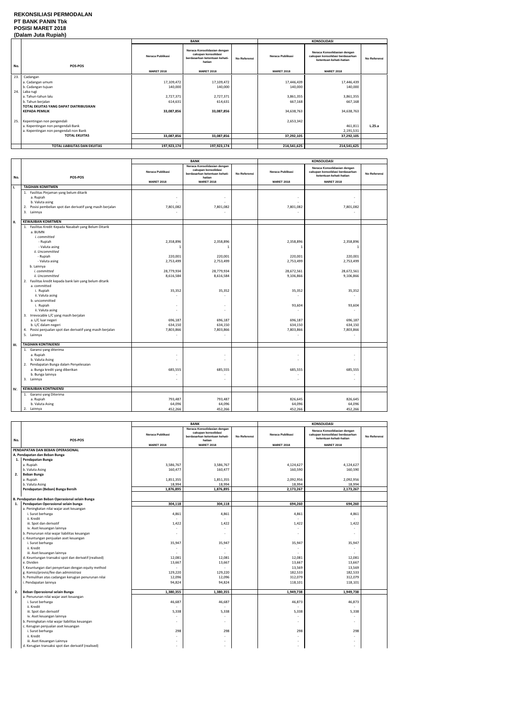### **REKONSILIASI PERMODALAN PT BANK PANIN Tbk POSISI MARET 2018 (Dalam Juta Rupiah)**

|     | <b>(Dalam vulu Ruplan)</b>             |                   |                                                                                               |                     |                   |                                                                                           |              |
|-----|----------------------------------------|-------------------|-----------------------------------------------------------------------------------------------|---------------------|-------------------|-------------------------------------------------------------------------------------------|--------------|
|     |                                        |                   | <b>BANK</b>                                                                                   |                     |                   | <b>KONSOLIDASI</b>                                                                        |              |
| No. | POS-POS                                | Neraca Publikasi  | Neraca Konsolidasian dengan<br>cakupan konsolidasi<br>berdasarkan ketentuan kehati-<br>hatian | <b>No Referensi</b> | Neraca Publikasi  | Neraca Konsolidasian dengan<br>cakupan konsolidasi berdasarkan<br>ketentuan kehati-hatian | No Referensi |
|     |                                        | <b>MARET 2018</b> | <b>MARET 2018</b>                                                                             |                     | <b>MARET 2018</b> | <b>MARET 2018</b>                                                                         |              |
| 23. | Cadangan                               |                   |                                                                                               |                     |                   |                                                                                           |              |
|     | a. Cadangan umum                       | 17,109,472        | 17,109,472                                                                                    |                     | 17,446,439        | 17,446,439                                                                                |              |
|     | b. Cadangan tujuan                     | 140,000           | 140,000                                                                                       |                     | 140,000           | 140,000                                                                                   |              |
| 24. | Laba rugi                              |                   |                                                                                               |                     |                   |                                                                                           |              |
|     | a. Tahun-tahun lalu                    | 2,727,371         | 2,727,371                                                                                     |                     | 3,861,355         | 3,861,355                                                                                 |              |
|     | b. Tahun berjalan                      | 614,631           | 614,631                                                                                       |                     | 667,168           | 667,168                                                                                   |              |
|     | TOTAL EKUITAS YANG DAPAT DIATRIBUSIKAN |                   |                                                                                               |                     |                   |                                                                                           |              |
|     | <b>KEPADA PEMILIK</b>                  | 33,087,856        | 33,087,856                                                                                    |                     | 34,638,763        | 34,638,763                                                                                |              |
| 25. | Kepentingan non pengendali             |                   |                                                                                               |                     | 2,653,342         |                                                                                           |              |
|     | a. Kepentingan non pengendali Bank     |                   |                                                                                               |                     |                   | 461,811                                                                                   | L.25.a       |
|     | a. Kepentingan non pengendali non Bank |                   |                                                                                               |                     |                   | 2,191,531                                                                                 |              |
|     | <b>TOTAL EKUITAS</b>                   | 33,087,856        | 33,087,856                                                                                    |                     | 37,292,105        | 37,292,105                                                                                |              |
|     |                                        |                   |                                                                                               |                     |                   |                                                                                           |              |
|     | TOTAL LIABILITAS DAN EKUITAS           | 197,923,174       | 197,923,174                                                                                   |                     | 214,541,625       | 214,541,625                                                                               |              |

|     |                                                                                                                                                                                                                                                                                                                                                                                                                                                                                                                                                       | <b>BANK</b>                                                                                                                         |                                                                                                                                     |              | <b>KONSOLIDASI</b>                                                                                                        |                                                                                                                                     |              |
|-----|-------------------------------------------------------------------------------------------------------------------------------------------------------------------------------------------------------------------------------------------------------------------------------------------------------------------------------------------------------------------------------------------------------------------------------------------------------------------------------------------------------------------------------------------------------|-------------------------------------------------------------------------------------------------------------------------------------|-------------------------------------------------------------------------------------------------------------------------------------|--------------|---------------------------------------------------------------------------------------------------------------------------|-------------------------------------------------------------------------------------------------------------------------------------|--------------|
| No. | POS-POS                                                                                                                                                                                                                                                                                                                                                                                                                                                                                                                                               | Neraca Publikasi                                                                                                                    | Neraca Konsolidasian dengan<br>cakupan konsolidasi<br>berdasarkan ketentuan kehati-<br>hatian                                       | No Referensi | Neraca Publikasi                                                                                                          | Neraca Konsolidasian dengan<br>cakupan konsolidasi berdasarkan<br>ketentuan kehati-hatian                                           | No Referensi |
|     | <b>TAGIHAN KOMITMEN</b>                                                                                                                                                                                                                                                                                                                                                                                                                                                                                                                               | <b>MARET 2018</b>                                                                                                                   | <b>MARET 2018</b>                                                                                                                   |              | <b>MARET 2018</b>                                                                                                         | <b>MARET 2018</b>                                                                                                                   |              |
| Ι.  | 1. Fasilitas Pinjaman yang belum ditarik                                                                                                                                                                                                                                                                                                                                                                                                                                                                                                              |                                                                                                                                     |                                                                                                                                     |              |                                                                                                                           |                                                                                                                                     |              |
|     | a. Rupiah<br>b. Valuta asing<br>Posisi pembelian spot dan derivatif yang masih berjalan<br>2.<br>3. Lainnya                                                                                                                                                                                                                                                                                                                                                                                                                                           | 7,801,082                                                                                                                           | $\sim$<br>7,801,082<br>$\sim$                                                                                                       |              | 7,801,082                                                                                                                 | 7,801,082<br>$\sim$                                                                                                                 |              |
| П.  | <b>KEWAJIBAN KOMITMEN</b>                                                                                                                                                                                                                                                                                                                                                                                                                                                                                                                             |                                                                                                                                     |                                                                                                                                     |              |                                                                                                                           |                                                                                                                                     |              |
|     | 1. Fasilitas Kredit Kepada Nasabah yang Belum Ditarik<br>a. BUMN<br>i. committed<br>- Rupiah<br>- Valuta asing<br>ii. Uncommitted<br>- Rupiah<br>- Valuta asing<br>b. Lainnya<br>i. committed<br>ii. Uncommitted<br>2. Fasilitas kredit kepada bank lain yang belum ditarik<br>a. committed<br>i. Rupiah<br>ii. Valuta asing<br>b. uncommitted<br>i. Rupiah<br>ii. Valuta asing<br>3. Irrevocable L/C yang masih berjalan<br>a. L/C luar negeri<br>b. L/C dalam negeri<br>Posisi penjualan spot dan derivatif yang masih berjalan<br>4.<br>5. Lainnya | 2,358,896<br>$\mathbf{1}$<br>220,001<br>2,753,499<br>28,779,934<br>8,616,584<br>35,352<br>696,187<br>634,150<br>7,803,866<br>$\sim$ | 2,358,896<br>$\mathbf{1}$<br>220,001<br>2,753,499<br>28,779,934<br>8,616,584<br>35,352<br>٠<br>٠<br>696,187<br>634,150<br>7,803,866 |              | 2,358,896<br>-1<br>220,001<br>2,753,499<br>28,672,561<br>9,106,866<br>35,352<br>93,604<br>696,187<br>634,150<br>7,803,866 | 2,358,896<br>$\mathbf{1}$<br>220,001<br>2,753,499<br>28,672,561<br>9,106,866<br>35,352<br>93,604<br>696,187<br>634,150<br>7,803,866 |              |
|     |                                                                                                                                                                                                                                                                                                                                                                                                                                                                                                                                                       |                                                                                                                                     |                                                                                                                                     |              |                                                                                                                           |                                                                                                                                     |              |
| Ш.  | <b>TAGIHAN KONTINJENSI</b>                                                                                                                                                                                                                                                                                                                                                                                                                                                                                                                            |                                                                                                                                     |                                                                                                                                     |              |                                                                                                                           |                                                                                                                                     |              |
|     | 1. Garansi yang diterima<br>a. Rupiah<br>b. Valuta Asing<br>2. Pendapatan Bunga dalam Penyelesaian<br>a. Bunga kredit yang diberikan<br>b. Bunga lainnya<br>3. Lainnya                                                                                                                                                                                                                                                                                                                                                                                | 685,555                                                                                                                             | ÷,<br>÷,<br>685,555<br>ä,                                                                                                           |              | 685,555                                                                                                                   | 685,555                                                                                                                             |              |
| IV. | <b>KEWAJIBAN KONTINJENSI</b>                                                                                                                                                                                                                                                                                                                                                                                                                                                                                                                          |                                                                                                                                     |                                                                                                                                     |              |                                                                                                                           |                                                                                                                                     |              |
|     | 1. Garansi yang Diterima<br>a. Rupiah<br>b. Valuta Asing<br>2. Lainnya                                                                                                                                                                                                                                                                                                                                                                                                                                                                                | 793,487<br>64,096<br>452,266                                                                                                        | 793,487<br>64,096<br>452,266                                                                                                        |              | 826,645<br>64,096<br>452,266                                                                                              | 826,645<br>64,096<br>452,266                                                                                                        |              |

|     |                                                       | <b>BANK</b>       |                                                                                               | <b>KONSOLIDASI</b> |                   |                                                                                           |              |
|-----|-------------------------------------------------------|-------------------|-----------------------------------------------------------------------------------------------|--------------------|-------------------|-------------------------------------------------------------------------------------------|--------------|
| No. | POS-POS                                               | Neraca Publikasi  | Neraca Konsolidasian dengan<br>cakupan konsolidasi<br>berdasarkan ketentuan kehati-<br>hatian | No Referensi       | Neraca Publikasi  | Neraca Konsolidasian dengan<br>cakupan konsolidasi berdasarkan<br>ketentuan kehati-hatian | No Referensi |
|     |                                                       | <b>MARET 2018</b> | <b>MARET 2018</b>                                                                             |                    | <b>MARET 2018</b> | <b>MARET 2018</b>                                                                         |              |
|     | PENDAPATAN DAN BEBAN OPERASIONAL                      |                   |                                                                                               |                    |                   |                                                                                           |              |
|     | A. Pendapatan dan Beban Bunga                         |                   |                                                                                               |                    |                   |                                                                                           |              |
| 1.  | Pendapatan Bunga                                      |                   |                                                                                               |                    |                   |                                                                                           |              |
|     | a. Rupiah                                             | 3,586,767         | 3,586,767                                                                                     |                    | 4,124,627         | 4,124,627                                                                                 |              |
|     | b. Valuta Asing                                       | 160,477           | 160,477                                                                                       |                    | 160,590           | 160,590                                                                                   |              |
| 2.  | <b>Beban Bunga</b>                                    |                   |                                                                                               |                    |                   |                                                                                           |              |
|     | a. Rupiah                                             | 1,851,355         | 1,851,355                                                                                     |                    | 2,092,956         | 2,092,956                                                                                 |              |
|     | b. Valuta Asing                                       | 18,994            | 18,994                                                                                        |                    | 18.994            | 18,994                                                                                    |              |
|     | Pendapatan (Beban) Bunga Bersih                       | 1,876,895         | 1,876,895                                                                                     |                    | 2,173,267         | 2,173,267                                                                                 |              |
|     |                                                       |                   |                                                                                               |                    |                   |                                                                                           |              |
|     | B. Pendapatan dan Beban Operasional selain Bunga      |                   |                                                                                               |                    |                   |                                                                                           |              |
| 1.  | Pendapatan Operasional selain bunga                   | 304,118           | 304,118                                                                                       |                    | 694,260           | 694,260                                                                                   |              |
|     | a. Peningkatan nilai wajar aset keuangan              |                   |                                                                                               |                    |                   |                                                                                           |              |
|     | i. Surat berharga                                     | 4,861             | 4,861                                                                                         |                    | 4,861             | 4,861                                                                                     |              |
|     | ii. Kredit                                            |                   |                                                                                               |                    |                   |                                                                                           |              |
|     | iii. Spot dan derivatif                               | 1,422             | 1,422                                                                                         |                    | 1,422             | 1,422                                                                                     |              |
|     | iv. Aset keuangan lainnya                             |                   |                                                                                               |                    |                   | $\overline{\phantom{a}}$                                                                  |              |
|     | b. Penurunan nilai wajar liabilitas keuangan          |                   |                                                                                               |                    |                   | $\overline{\phantom{a}}$                                                                  |              |
|     | c. Keuntungan penjualan aset keuangan                 |                   |                                                                                               |                    |                   |                                                                                           |              |
|     | i. Surat berharga                                     | 35,947            | 35,947                                                                                        |                    | 35,947            | 35,947                                                                                    |              |
|     | ii. Kredit                                            |                   |                                                                                               |                    | $\sim$            |                                                                                           |              |
|     | iii. Aset keuangan lainnya                            |                   |                                                                                               |                    |                   |                                                                                           |              |
|     | d. Keuntungan transaksi spot dan derivatif (realised) | 12,081            | 12,081                                                                                        |                    | 12,081            | 12,081                                                                                    |              |
|     | e. Dividen                                            | 13,667            | 13,667                                                                                        |                    | 13,667            | 13,667                                                                                    |              |
|     | f. Keuntungan dari penyertaan dengan equity method    |                   |                                                                                               |                    | 13,569            | 13,569                                                                                    |              |
|     | g. Komisi/provisi/fee dan administrasi                | 129,220           | 129,220                                                                                       |                    | 182,533           | 182,533                                                                                   |              |
|     | h. Pemulihan atas cadangan kerugian penurunan nilai   | 12,096            | 12,096                                                                                        |                    | 312,079           | 312,079                                                                                   |              |
|     | i. Pendapatan lainnya                                 | 94,824            | 94,824                                                                                        |                    | 118,101           | 118,101                                                                                   |              |
|     |                                                       |                   |                                                                                               |                    |                   |                                                                                           |              |
| 2.  | Beban Operasional selain Bunga                        | 1,380,355         | 1,380,355                                                                                     |                    | 1,949,738         | 1,949,738                                                                                 |              |
|     | a. Penurunan nilai wajar aset keuangan                |                   |                                                                                               |                    |                   |                                                                                           |              |
|     | i. Surat berharga                                     | 46,687            | 46,687                                                                                        |                    | 46,873            | 46,873                                                                                    |              |
|     | ii. Kredit                                            |                   |                                                                                               |                    |                   |                                                                                           |              |
|     | iii. Spot dan derivatif                               | 5,338             | 5,338                                                                                         |                    | 5,338             | 5,338                                                                                     |              |
|     | iv. Aset keuangan lainnya                             |                   |                                                                                               |                    |                   | $\sim$                                                                                    |              |
|     | b. Peningkatan nilai wajar liabilitas keuangan        |                   |                                                                                               |                    |                   |                                                                                           |              |
|     | c. Kerugian penjualan aset keuangan                   |                   |                                                                                               |                    |                   |                                                                                           |              |
|     | i. Surat berharga                                     | 298               | 298                                                                                           |                    | 298               | 298                                                                                       |              |
|     | ii. Kredit                                            |                   |                                                                                               |                    |                   |                                                                                           |              |
|     | iii. Aset Keuangan Lainnya                            |                   |                                                                                               |                    |                   |                                                                                           |              |
|     | d. Kerugian transaksi spot dan derivatif (realised)   |                   |                                                                                               |                    |                   |                                                                                           |              |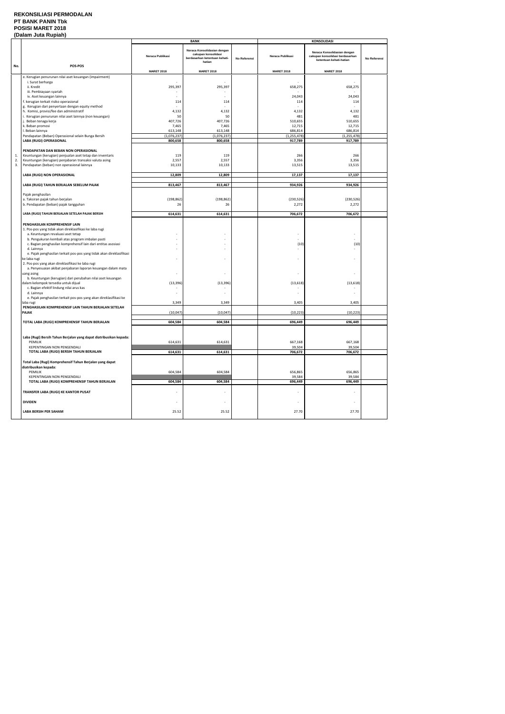## **REKONSILIASI PERMODALAN PT BANK PANIN Tbk POSISI MARET 2018**

| (Dalam Juta Rupiah) |                                                                                                       |                          |                                                                                               |              |                          |                                                                                           |              |
|---------------------|-------------------------------------------------------------------------------------------------------|--------------------------|-----------------------------------------------------------------------------------------------|--------------|--------------------------|-------------------------------------------------------------------------------------------|--------------|
|                     |                                                                                                       |                          | <b>BANK</b>                                                                                   |              |                          | <b>KONSOLIDASI</b>                                                                        |              |
|                     | POS-POS                                                                                               | Neraca Publikasi         | Neraca Konsolidasian dengan<br>cakupan konsolidasi<br>berdasarkan ketentuan kehati-<br>hatian | No Referensi | Neraca Publikasi         | Neraca Konsolidasian dengan<br>cakupan konsolidasi berdasarkan<br>ketentuan kehati-hatian | No Referensi |
| No.                 |                                                                                                       | <b>MARET 2018</b>        | <b>MARET 2018</b>                                                                             |              | <b>MARET 2018</b>        | <b>MARET 2018</b>                                                                         |              |
|                     | e. Kerugian penurunan nilai aset keuangan (impairment)                                                |                          |                                                                                               |              |                          |                                                                                           |              |
|                     | i. Surat berharga                                                                                     |                          |                                                                                               |              |                          |                                                                                           |              |
|                     | ii. Kredit                                                                                            | 295,397                  | 295,397                                                                                       |              | 658,275                  | 658,275                                                                                   |              |
|                     | iii. Pembiayaan syariah                                                                               |                          |                                                                                               |              |                          |                                                                                           |              |
|                     | iv. Aset keuangan lainnya                                                                             |                          |                                                                                               |              | 24,043                   | 24,043                                                                                    |              |
|                     | f. kerugian terkait risiko operasional<br>g. Kerugian dari penyertaan dengan equity method            | 114                      | 114                                                                                           |              | 114                      | 114                                                                                       |              |
|                     | h. Komisi, provisi/fee dan administratif                                                              | 4,132                    | 4,132                                                                                         |              | 4,132                    | 4,132                                                                                     |              |
|                     | i. Kerugian penurunan nilai aset lainnya (non keuangan)                                               | 50                       | 50                                                                                            |              | 481                      | 481                                                                                       |              |
|                     | . Beban tenaga kerja                                                                                  | 407,726                  | 407,726                                                                                       |              | 510,655                  | 510,655                                                                                   |              |
|                     | k. Beban promosi<br>I. Beban lainnya                                                                  | 7,465                    | 7,465                                                                                         |              | 12,715                   | 12,715                                                                                    |              |
|                     | Pendapatan (Beban) Operasional selain Bunga Bersih                                                    | 613,148<br>(1,076,237)   | 613,148<br>(1,076,237)                                                                        |              | 686,814<br>(1, 255, 478) | 686,814<br>(1, 255, 478)                                                                  |              |
|                     | LABA (RUGI) OPERASIONAL                                                                               | 800,658                  | 800,658                                                                                       |              | 917,789                  | 917,789                                                                                   |              |
|                     |                                                                                                       |                          |                                                                                               |              |                          |                                                                                           |              |
|                     | PENDAPATAN DAN BEBAN NON OPERASIONAL                                                                  |                          |                                                                                               |              |                          |                                                                                           |              |
| 1.                  | Keuntungan (kerugian) penjualan aset tetap dan inventaris                                             | 119                      | 119                                                                                           |              | 266                      | 266                                                                                       |              |
| 2.<br>3.            | Keuntungan (kerugian) penjabaran transaksi valuta asing<br>Pendapatan (beban) non operasional lainnya | 2,557<br>10,133          | 2,557<br>10,133                                                                               |              | 3,356<br>13,515          | 3,356<br>13,515                                                                           |              |
|                     |                                                                                                       |                          |                                                                                               |              |                          |                                                                                           |              |
|                     | LABA (RUGI) NON OPERASIONAL                                                                           | 12,809                   | 12,809                                                                                        |              | 17,137                   | 17,137                                                                                    |              |
|                     |                                                                                                       |                          |                                                                                               |              |                          |                                                                                           |              |
|                     | LABA (RUGI) TAHUN BERJALAN SEBELUM PAJAK                                                              | 813,467                  | 813,467                                                                                       |              | 934,926                  | 934,926                                                                                   |              |
|                     | Pajak penghasilan                                                                                     |                          |                                                                                               |              |                          |                                                                                           |              |
|                     | a. Taksiran pajak tahun berjalan                                                                      | (198, 862)               | (198, 862)                                                                                    |              | (230, 526)               | (230, 526)                                                                                |              |
|                     | b. Pendapatan (beban) pajak tangguhan                                                                 | 26                       | 26                                                                                            |              | 2,272                    | 2,272                                                                                     |              |
|                     |                                                                                                       |                          |                                                                                               |              |                          |                                                                                           |              |
|                     | LABA (RUGI) TAHUN BERJALAN SETELAH PAJAK BERSIH                                                       | 614,631                  | 614,631                                                                                       |              | 706,672                  | 706,672                                                                                   |              |
|                     |                                                                                                       |                          |                                                                                               |              |                          |                                                                                           |              |
|                     | PENGHASILAN KOMPREHENSIF LAIN<br>1. Pos-pos yang tidak akan direklasifikasi ke laba rugi              |                          |                                                                                               |              |                          |                                                                                           |              |
|                     | a. Keuntungan revaluasi aset tetap                                                                    |                          |                                                                                               |              |                          |                                                                                           |              |
|                     | b. Pengukuran kembali atas program imbalan pasti                                                      |                          |                                                                                               |              |                          |                                                                                           |              |
|                     | c. Bagian penghasilan komprehensif lain dari entitas asosiasi                                         |                          | $\overline{\phantom{a}}$                                                                      |              | (10)                     | (10)                                                                                      |              |
|                     | d. Lainnya                                                                                            |                          | $\overline{\phantom{a}}$                                                                      |              |                          |                                                                                           |              |
|                     | e. Pajak penghasilan terkait pos-pos yang tidak akan direklasifikasi<br>ke laba rugi                  |                          |                                                                                               |              |                          |                                                                                           |              |
|                     | 2. Pos-pos yang akan direklasifikasi ke laba rugi                                                     |                          |                                                                                               |              |                          |                                                                                           |              |
|                     | a. Penyesuaian akibat penjabaran laporan keuangan dalam mata                                          |                          |                                                                                               |              |                          |                                                                                           |              |
|                     | uang asing                                                                                            |                          |                                                                                               |              |                          |                                                                                           |              |
|                     | b. Keuntungan (kerugian) dari perubahan nilai aset keuangan                                           |                          |                                                                                               |              |                          |                                                                                           |              |
|                     | dalam kelompok tersedia untuk dijual<br>c. Bagian efektif lindung nilai arus kas                      | (13, 396)                | (13, 396)                                                                                     |              | (13, 618)                | (13, 618)                                                                                 |              |
|                     | d. Lainnya                                                                                            |                          |                                                                                               |              |                          |                                                                                           |              |
|                     | e. Pajak penghasilan terkait pos-pos yang akan direklasifikasi ke                                     |                          |                                                                                               |              |                          |                                                                                           |              |
|                     | laba rugi                                                                                             | 3,349                    | 3,349                                                                                         |              | 3,405                    | 3,405                                                                                     |              |
|                     | PENGHASILAN KOMPREHENSIF LAIN TAHUN BERJALAN SETELAH                                                  |                          |                                                                                               |              |                          |                                                                                           |              |
|                     | PAJAK                                                                                                 | (10, 047)                | (10, 047)                                                                                     |              | (10, 223)                | (10, 223)                                                                                 |              |
|                     | TOTAL LABA (RUGI) KOMPREHENSIF TAHUN BERJALAN                                                         | 604,584                  | 604,584                                                                                       |              | 696,449                  | 696,449                                                                                   |              |
|                     |                                                                                                       |                          |                                                                                               |              |                          |                                                                                           |              |
|                     |                                                                                                       |                          |                                                                                               |              |                          |                                                                                           |              |
|                     | Laba (Rugi) Bersih Tahun Berjalan yang dapat diatribusikan kepada:                                    |                          |                                                                                               |              |                          |                                                                                           |              |
|                     | PEMILIK<br>KEPENTINGAN NON PENGENDALI                                                                 | 614,631                  | 614,631                                                                                       |              | 667,168                  | 667,168                                                                                   |              |
|                     | TOTAL LABA (RUGI) BERSIH TAHUN BERJALAN                                                               | 614,631                  | 614,631                                                                                       |              | 39,504<br>706,672        | 39,504<br>706,672                                                                         |              |
|                     |                                                                                                       |                          |                                                                                               |              |                          |                                                                                           |              |
|                     | Total Laba (Rugi) Komprehensif Tahun Berjalan yang dapat                                              |                          |                                                                                               |              |                          |                                                                                           |              |
|                     | diatribusikan kepada:                                                                                 |                          |                                                                                               |              |                          |                                                                                           |              |
|                     | PEMILIK                                                                                               | 604,584                  | 604,584                                                                                       |              | 656,865                  | 656,865                                                                                   |              |
|                     | <b>KEPENTINGAN NON PENGENDALI</b><br>TOTAL LABA (RUGI) KOMPREHENSIF TAHUN BERJALAN                    | 604,584                  | 604,584                                                                                       |              | 39,584<br>696,449        | 39,584<br>696,449                                                                         |              |
|                     |                                                                                                       |                          |                                                                                               |              |                          |                                                                                           |              |
|                     | TRANSFER LABA (RUGI) KE KANTOR PUSAT                                                                  |                          |                                                                                               |              |                          |                                                                                           |              |
|                     |                                                                                                       |                          |                                                                                               |              |                          |                                                                                           |              |
|                     | <b>DIVIDEN</b>                                                                                        | $\overline{\phantom{a}}$ | $\overline{\phantom{a}}$                                                                      |              |                          | $\overline{\phantom{a}}$                                                                  |              |
|                     |                                                                                                       |                          |                                                                                               |              |                          |                                                                                           |              |
|                     | <b>LABA BERSIH PER SAHAM</b>                                                                          | 25.52                    | 25.52                                                                                         |              | 27.70                    | 27.70                                                                                     |              |
|                     |                                                                                                       |                          |                                                                                               |              |                          |                                                                                           |              |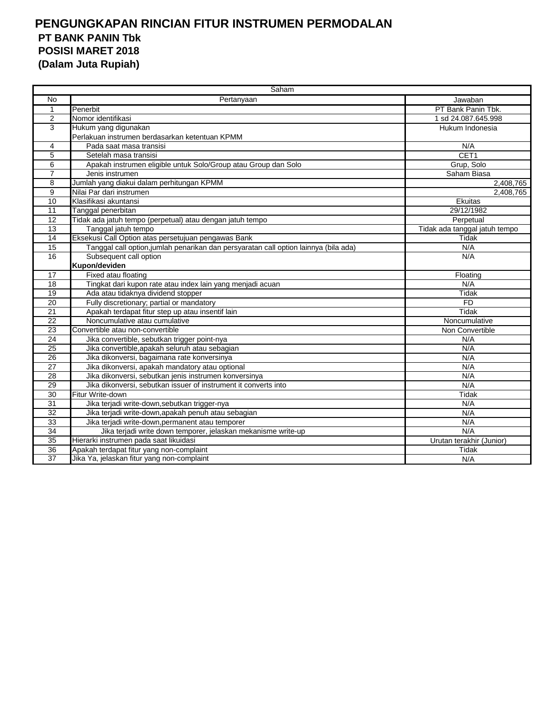|                 | Saham                                                                                |                               |  |  |  |  |
|-----------------|--------------------------------------------------------------------------------------|-------------------------------|--|--|--|--|
| No              | Pertanyaan                                                                           | Jawaban                       |  |  |  |  |
| $\mathbf 1$     | Penerbit                                                                             | PT Bank Panin Tbk.            |  |  |  |  |
| 2               | Nomor identifikasi                                                                   | 1 sd 24.087.645.998           |  |  |  |  |
| 3               | Hukum yang digunakan                                                                 | Hukum Indonesia               |  |  |  |  |
|                 | Perlakuan instrumen berdasarkan ketentuan KPMM                                       |                               |  |  |  |  |
| 4               | Pada saat masa transisi                                                              | N/A                           |  |  |  |  |
| 5               | Setelah masa transisi                                                                | CET1                          |  |  |  |  |
| 6               | Apakah instrumen eligible untuk Solo/Group atau Group dan Solo                       | Grup, Solo                    |  |  |  |  |
| $\overline{7}$  | Jenis instrumen                                                                      | Saham Biasa                   |  |  |  |  |
| 8               | Jumlah yang diakui dalam perhitungan KPMM                                            | 2,408,765                     |  |  |  |  |
| $\overline{9}$  | Nilai Par dari instrumen                                                             | 2,408,765                     |  |  |  |  |
| $\overline{10}$ | Klasifikasi akuntansi                                                                | Ekuitas                       |  |  |  |  |
| 11              | Tanggal penerbitan                                                                   | 29/12/1982                    |  |  |  |  |
| 12              | Tidak ada jatuh tempo (perpetual) atau dengan jatuh tempo                            | Perpetual                     |  |  |  |  |
| 13              | Tanggal jatuh tempo                                                                  | Tidak ada tanggal jatuh tempo |  |  |  |  |
| 14              | Eksekusi Call Option atas persetujuan pengawas Bank                                  | Tidak                         |  |  |  |  |
| $\overline{15}$ | Tanggal call option, jumlah penarikan dan persyaratan call option lainnya (bila ada) | N/A                           |  |  |  |  |
| 16              | Subsequent call option                                                               | N/A                           |  |  |  |  |
|                 | Kupon/deviden                                                                        |                               |  |  |  |  |
| 17              | Fixed atau floating                                                                  | Floating                      |  |  |  |  |
| $\overline{18}$ | Tingkat dari kupon rate atau index lain yang menjadi acuan                           | N/A                           |  |  |  |  |
| $\overline{19}$ | Ada atau tidaknya dividend stopper                                                   | Tidak                         |  |  |  |  |
| 20              | Fully discretionary; partial or mandatory                                            | <b>FD</b>                     |  |  |  |  |
| 21              | Apakah terdapat fitur step up atau insentif lain                                     | Tidak                         |  |  |  |  |
| 22              | Noncumulative atau cumulative                                                        | Noncumulative                 |  |  |  |  |
| 23              | Convertible atau non-convertible                                                     | Non Convertible               |  |  |  |  |
| 24              | Jika convertible, sebutkan trigger point-nya                                         | N/A                           |  |  |  |  |
| 25              | Jika convertible, apakah seluruh atau sebagian                                       | N/A                           |  |  |  |  |
| 26              | Jika dikonversi, bagaimana rate konversinya                                          | N/A                           |  |  |  |  |
| 27              | Jika dikonversi, apakah mandatory atau optional                                      | N/A                           |  |  |  |  |
| 28              | Jika dikonversi, sebutkan jenis instrumen konversinya                                | N/A                           |  |  |  |  |
| 29              | Jika dikonversi, sebutkan issuer of instrument it converts into                      | N/A                           |  |  |  |  |
| 30              | Fitur Write-down                                                                     | Tidak                         |  |  |  |  |
| 31              | Jika terjadi write-down, sebutkan trigger-nya                                        | N/A                           |  |  |  |  |
| $\overline{32}$ | Jika terjadi write-down, apakah penuh atau sebagian                                  | N/A                           |  |  |  |  |
| 33              | Jika terjadi write-down, permanent atau temporer                                     | N/A                           |  |  |  |  |
| 34              | Jika terjadi write down temporer, jelaskan mekanisme write-up                        | N/A                           |  |  |  |  |
| 35              | Hierarki instrumen pada saat likuidasi                                               | Urutan terakhir (Junior)      |  |  |  |  |
| 36              | Apakah terdapat fitur yang non-complaint                                             | Tidak                         |  |  |  |  |
| $\overline{37}$ | Jika Ya, jelaskan fitur yang non-complaint                                           | N/A                           |  |  |  |  |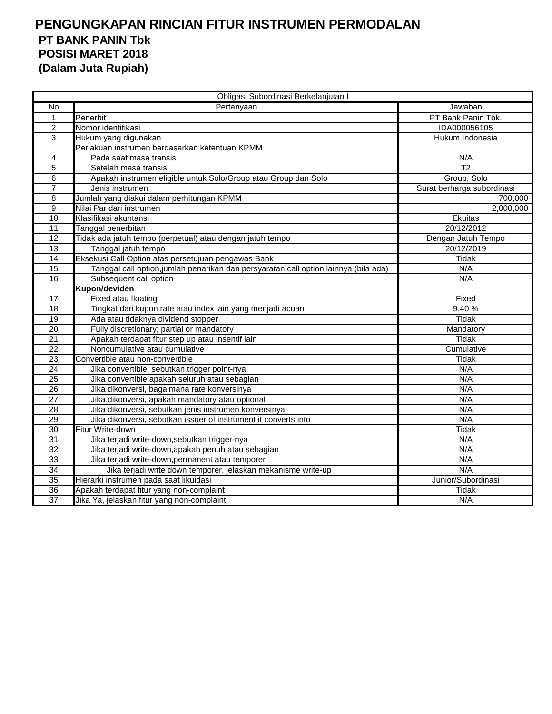| Obligasi Subordinasi Berkelanjutan I |                                                                                      |                            |  |  |  |  |
|--------------------------------------|--------------------------------------------------------------------------------------|----------------------------|--|--|--|--|
| No                                   | Pertanyaan                                                                           | Jawaban                    |  |  |  |  |
| $\mathbf{1}$                         | Penerbit                                                                             | PT Bank Panin Tbk.         |  |  |  |  |
| 2                                    | Nomor identifikasi                                                                   | IDA000056105               |  |  |  |  |
| 3                                    | Hukum yang digunakan                                                                 | Hukum Indonesia            |  |  |  |  |
|                                      | Perlakuan instrumen berdasarkan ketentuan KPMM                                       |                            |  |  |  |  |
| 4                                    | Pada saat masa transisi                                                              | N/A                        |  |  |  |  |
| 5                                    | Setelah masa transisi                                                                | $\overline{T2}$            |  |  |  |  |
| $\overline{6}$                       | Apakah instrumen eligible untuk Solo/Group atau Group dan Solo                       | Group, Solo                |  |  |  |  |
| $\overline{7}$                       | Jenis instrumen                                                                      | Surat berharga subordinasi |  |  |  |  |
| 8                                    | Jumlah yang diakui dalam perhitungan KPMM                                            | 700,000                    |  |  |  |  |
| 9                                    | Nilai Par dari instrumen                                                             | 2,000,000                  |  |  |  |  |
| 10                                   | Klasifikasi akuntansi                                                                | Ekuitas                    |  |  |  |  |
| 11                                   | Tanggal penerbitan                                                                   | 20/12/2012                 |  |  |  |  |
| 12                                   | Tidak ada jatuh tempo (perpetual) atau dengan jatuh tempo                            | Dengan Jatuh Tempo         |  |  |  |  |
| $\overline{13}$                      | Tanggal jatuh tempo                                                                  | 20/12/2019                 |  |  |  |  |
| 14                                   | Eksekusi Call Option atas persetujuan pengawas Bank                                  | Tidak                      |  |  |  |  |
| 15                                   | Tanggal call option, jumlah penarikan dan persyaratan call option lainnya (bila ada) | N/A                        |  |  |  |  |
| 16                                   | Subsequent call option                                                               | N/A                        |  |  |  |  |
|                                      | Kupon/deviden                                                                        |                            |  |  |  |  |
| 17                                   | Fixed atau floating                                                                  | Fixed                      |  |  |  |  |
| 18                                   | Tingkat dari kupon rate atau index lain yang menjadi acuan                           | 9,40%                      |  |  |  |  |
| 19                                   | Ada atau tidaknya dividend stopper                                                   | <b>Tidak</b>               |  |  |  |  |
| 20                                   | Fully discretionary; partial or mandatory                                            | Mandatory                  |  |  |  |  |
| $\overline{21}$                      | Apakah terdapat fitur step up atau insentif lain                                     | Tidak                      |  |  |  |  |
| 22                                   | Noncumulative atau cumulative                                                        | Cumulative                 |  |  |  |  |
| $\overline{23}$                      | Convertible atau non-convertible                                                     | <b>Tidak</b>               |  |  |  |  |
| 24                                   | Jika convertible, sebutkan trigger point-nya                                         | N/A                        |  |  |  |  |
| 25                                   | Jika convertible, apakah seluruh atau sebagian                                       | N/A                        |  |  |  |  |
| $\overline{26}$                      | Jika dikonversi, bagaimana rate konversinya                                          | N/A                        |  |  |  |  |
| 27                                   | Jika dikonversi, apakah mandatory atau optional                                      | N/A                        |  |  |  |  |
| 28                                   | Jika dikonversi, sebutkan jenis instrumen konversinya                                | N/A                        |  |  |  |  |
| 29                                   | Jika dikonversi, sebutkan issuer of instrument it converts into                      | N/A                        |  |  |  |  |
| 30                                   | Fitur Write-down                                                                     | <b>Tidak</b>               |  |  |  |  |
| $\overline{31}$                      | Jika terjadi write-down, sebutkan trigger-nya                                        | N/A                        |  |  |  |  |
| $\overline{32}$                      | Jika terjadi write-down, apakah penuh atau sebagian                                  | N/A                        |  |  |  |  |
| 33                                   | Jika terjadi write-down, permanent atau temporer                                     | N/A                        |  |  |  |  |
| 34                                   | Jika terjadi write down temporer, jelaskan mekanisme write-up                        | N/A                        |  |  |  |  |
| 35                                   | Hierarki instrumen pada saat likuidasi                                               | Junior/Subordinasi         |  |  |  |  |
| 36                                   | Apakah terdapat fitur yang non-complaint                                             | Tidak                      |  |  |  |  |
| $\overline{37}$                      | Jika Ya, jelaskan fitur yang non-complaint                                           | N/A                        |  |  |  |  |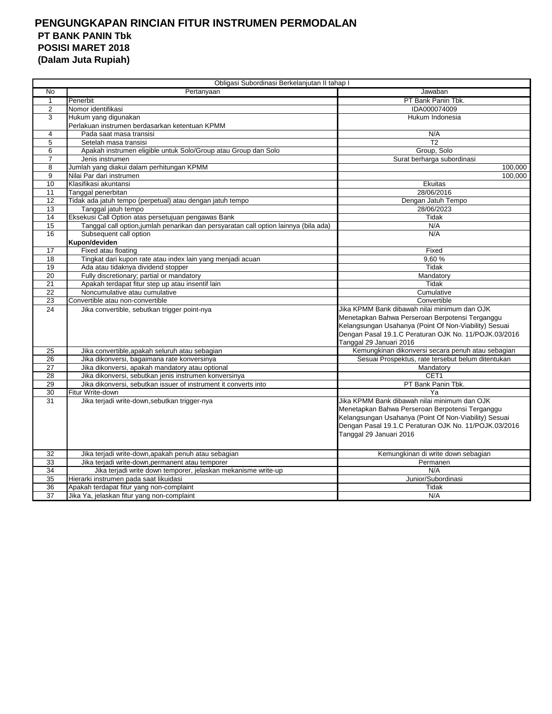|                 | Obligasi Subordinasi Berkelanjutan II tahap I                                        |                                                       |
|-----------------|--------------------------------------------------------------------------------------|-------------------------------------------------------|
| $\overline{N}$  | Pertanyaan                                                                           | Jawaban                                               |
| $\mathbf{1}$    | Penerbit                                                                             | PT Bank Panin Tbk.                                    |
| $\overline{2}$  | Nomor identifikasi                                                                   | IDA000074009                                          |
| 3               | Hukum yang digunakan                                                                 | Hukum Indonesia                                       |
|                 | Perlakuan instrumen berdasarkan ketentuan KPMM                                       |                                                       |
| 4               | Pada saat masa transisi                                                              | N/A                                                   |
| 5               | Setelah masa transisi                                                                | T <sub>2</sub>                                        |
| 6               | Apakah instrumen eligible untuk Solo/Group atau Group dan Solo                       | Group, Solo                                           |
| 7               | Jenis instrumen                                                                      | Surat berharga subordinasi                            |
| 8               | Jumlah yang diakui dalam perhitungan KPMM                                            | 100,000                                               |
| 9               | Nilai Par dari instrumen                                                             | 100.000                                               |
| 10              | Klasifikasi akuntansi                                                                | Ekuitas                                               |
| 11              | Tanggal penerbitan                                                                   | 28/06/2016                                            |
| 12              | Tidak ada jatuh tempo (perpetual) atau dengan jatuh tempo                            | Dengan Jatuh Tempo                                    |
| 13              | Tanggal jatuh tempo                                                                  | 28/06/2023                                            |
| 14              | Eksekusi Call Option atas persetujuan pengawas Bank                                  | Tidak                                                 |
| 15              | Tanggal call option, jumlah penarikan dan persyaratan call option lainnya (bila ada) | N/A                                                   |
| 16              | Subsequent call option                                                               | N/A                                                   |
|                 | Kupon/deviden                                                                        |                                                       |
| 17              | Fixed atau floating                                                                  | Fixed                                                 |
| 18              | Tingkat dari kupon rate atau index lain yang menjadi acuan                           | 9.60%                                                 |
| 19              | Ada atau tidaknya dividend stopper                                                   | Tidak                                                 |
| 20              | Fully discretionary; partial or mandatory                                            | Mandatory                                             |
| 21              | Apakah terdapat fitur step up atau insentif lain                                     | Tidak                                                 |
| 22              | Noncumulative atau cumulative                                                        | Cumulative                                            |
| 23              | Convertible atau non-convertible                                                     | Convertible                                           |
| 24              | Jika convertible, sebutkan trigger point-nya                                         | Jika KPMM Bank dibawah nilai minimum dan OJK          |
|                 |                                                                                      | Menetapkan Bahwa Perseroan Berpotensi Terganggu       |
|                 |                                                                                      | Kelangsungan Usahanya (Point Of Non-Viability) Sesuai |
|                 |                                                                                      | Dengan Pasal 19.1.C Peraturan OJK No. 11/POJK.03/2016 |
|                 |                                                                                      | Tanggal 29 Januari 2016                               |
| 25              | Jika convertible, apakah seluruh atau sebagian                                       | Kemungkinan dikonversi secara penuh atau sebagian     |
| 26              | Jika dikonversi, bagaimana rate konversinya                                          | Sesuai Prospektus, rate tersebut belum ditentukan     |
| $\overline{27}$ | Jika dikonversi, apakah mandatory atau optional                                      | Mandatory                                             |
| 28              | Jika dikonversi, sebutkan jenis instrumen konversinya                                | CET <sub>1</sub>                                      |
| 29              | Jika dikonversi, sebutkan issuer of instrument it converts into                      | PT Bank Panin Tbk.                                    |
| 30              | Fitur Write-down                                                                     | Ya                                                    |
| 31              | Jika terjadi write-down, sebutkan trigger-nya                                        | Jika KPMM Bank dibawah nilai minimum dan OJK          |
|                 |                                                                                      | Menetapkan Bahwa Perseroan Berpotensi Terganggu       |
|                 |                                                                                      | Kelangsungan Usahanya (Point Of Non-Viability) Sesuai |
|                 |                                                                                      | Dengan Pasal 19.1.C Peraturan OJK No. 11/POJK.03/2016 |
|                 |                                                                                      | Tanggal 29 Januari 2016                               |
|                 |                                                                                      |                                                       |
| 32              | Jika terjadi write-down, apakah penuh atau sebagian                                  | Kemungkinan di write down sebagian                    |
| 33              | Jika terjadi write-down, permanent atau temporer                                     | Permanen                                              |
| 34              | Jika terjadi write down temporer, jelaskan mekanisme write-up                        | N/A                                                   |
| 35              | Hierarki instrumen pada saat likuidasi                                               | Junior/Subordinasi                                    |
| 36              | Apakah terdapat fitur yang non-complaint                                             | Tidak                                                 |
| 37              | Jika Ya, jelaskan fitur yang non-complaint                                           | N/A                                                   |